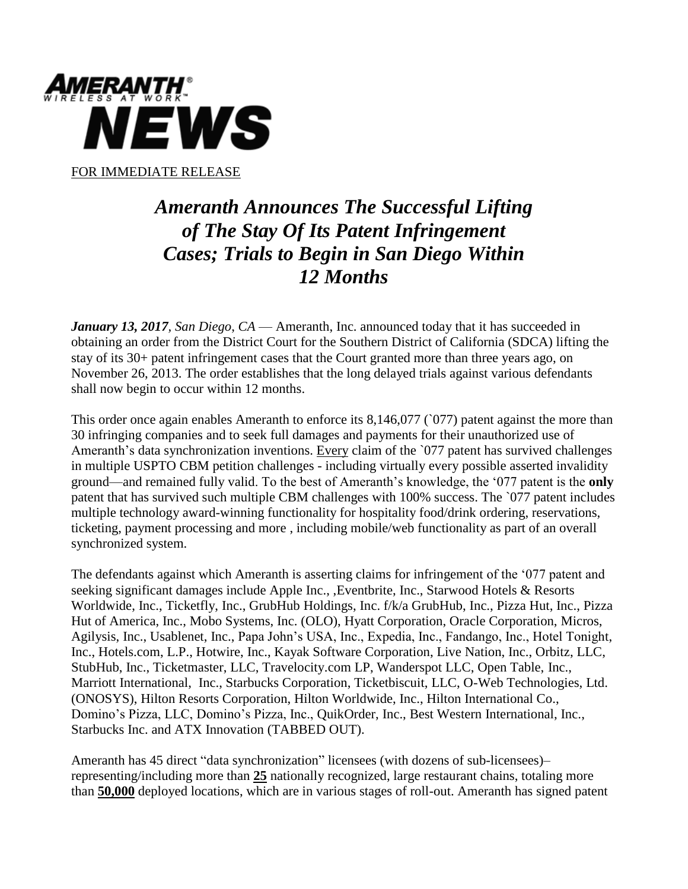

## *Ameranth Announces The Successful Lifting of The Stay Of Its Patent Infringement Cases; Trials to Begin in San Diego Within 12 Months*

*January 13, 2017, San Diego*, *CA* — Ameranth, Inc. announced today that it has succeeded in obtaining an order from the District Court for the Southern District of California (SDCA) lifting the stay of its 30+ patent infringement cases that the Court granted more than three years ago, on November 26, 2013. The order establishes that the long delayed trials against various defendants shall now begin to occur within 12 months.

This order once again enables Ameranth to enforce its  $8,146,077$  ( $077$ ) patent against the more than 30 infringing companies and to seek full damages and payments for their unauthorized use of Ameranth's data synchronization inventions. Every claim of the '077 patent has survived challenges in multiple USPTO CBM petition challenges - including virtually every possible asserted invalidity ground—and remained fully valid. To the best of Ameranth's knowledge, the '077 patent is the **only** patent that has survived such multiple CBM challenges with 100% success. The `077 patent includes multiple technology award-winning functionality for hospitality food/drink ordering, reservations, ticketing, payment processing and more , including mobile/web functionality as part of an overall synchronized system.

The defendants against which Ameranth is asserting claims for infringement of the '077 patent and seeking significant damages include Apple Inc., ,Eventbrite, Inc., Starwood Hotels & Resorts Worldwide, Inc., Ticketfly, Inc., GrubHub Holdings, Inc. f/k/a GrubHub, Inc., Pizza Hut, Inc., Pizza Hut of America, Inc., Mobo Systems, Inc. (OLO), Hyatt Corporation, Oracle Corporation, Micros, Agilysis, Inc., Usablenet, Inc., Papa John's USA, Inc., Expedia, Inc., Fandango, Inc., Hotel Tonight, Inc., Hotels.com, L.P., Hotwire, Inc., Kayak Software Corporation, Live Nation, Inc., Orbitz, LLC, StubHub, Inc., Ticketmaster, LLC, Travelocity.com LP, Wanderspot LLC, Open Table, Inc., Marriott International, Inc., Starbucks Corporation, Ticketbiscuit, LLC, O-Web Technologies, Ltd. (ONOSYS), Hilton Resorts Corporation, Hilton Worldwide, Inc., Hilton International Co., Domino's Pizza, LLC, Domino's Pizza, Inc., QuikOrder, Inc., Best Western International, Inc., Starbucks Inc. and ATX Innovation (TABBED OUT).

Ameranth has 45 direct "data synchronization" licensees (with dozens of sub-licensees)– representing/including more than **25** nationally recognized, large restaurant chains, totaling more than **50,000** deployed locations, which are in various stages of roll-out. Ameranth has signed patent